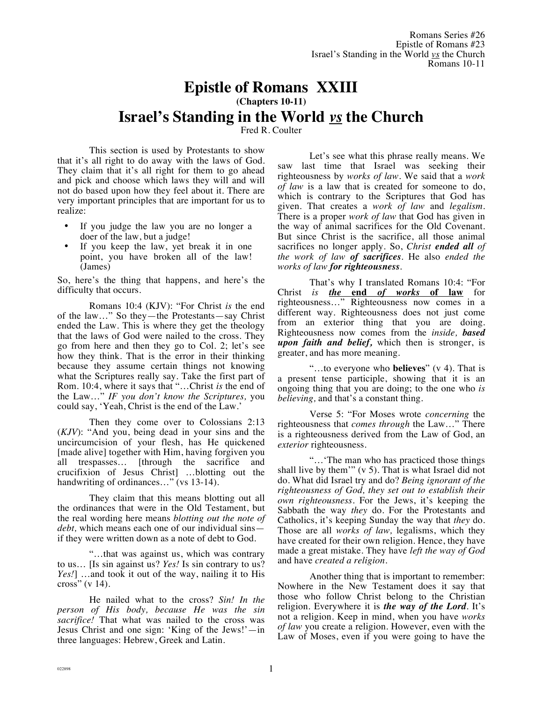## **Epistle of Romans XXIII**

**(Chapters 10-11)**

## **Israel's Standing in the World** *vs* **the Church**

Fred R. Coulter

This section is used by Protestants to show that it's all right to do away with the laws of God. They claim that it's all right for them to go ahead and pick and choose which laws they will and will not do based upon how they feel about it. There are very important principles that are important for us to realize:

- If you judge the law you are no longer a doer of the law, but a judge!
- If you keep the law, yet break it in one point, you have broken all of the law! (James)

So, here's the thing that happens, and here's the difficulty that occurs.

Romans 10:4 (KJV): "For Christ *is* the end of the law…" So they—the Protestants—say Christ ended the Law. This is where they get the theology that the laws of God were nailed to the cross. They go from here and then they go to Col. 2; let's see how they think. That is the error in their thinking because they assume certain things not knowing what the Scriptures really say. Take the first part of Rom. 10:4, where it says that "…Christ *is* the end of the Law…" *IF you don't know the Scriptures,* you could say, 'Yeah, Christ is the end of the Law.'

Then they come over to Colossians 2:13 (*KJV*): "And you, being dead in your sins and the uncircumcision of your flesh, has He quickened [made alive] together with Him, having forgiven you all trespasses… [through the sacrifice and crucifixion of Jesus Christ] …blotting out the handwriting of ordinances..." (vs 13-14).

They claim that this means blotting out all the ordinances that were in the Old Testament, but the real wording here means *blotting out the note of debt,* which means each one of our individual sins if they were written down as a note of debt to God.

"…that was against us, which was contrary to us… [Is sin against us? *Yes!* Is sin contrary to us? *Yes!*] …and took it out of the way, nailing it to His cross" (v 14).

He nailed what to the cross? *Sin! In the person of His body, because He was the sin sacrifice!* That what was nailed to the cross was Jesus Christ and one sign: 'King of the Jews!'—in three languages: Hebrew, Greek and Latin.

Let's see what this phrase really means. We saw last time that Israel was seeking their righteousness by *works of law.* We said that a *work of law* is a law that is created for someone to do, which is contrary to the Scriptures that God has given. That creates a *work of law* and *legalism.* There is a proper *work of law* that God has given in the way of animal sacrifices for the Old Covenant. But since Christ is the sacrifice, all those animal sacrifices no longer apply. So, *Christ ended all of the work of law of sacrifices*. He also *ended the works of law for righteousness*.

That's why I translated Romans 10:4: "For Christ *is the* **end** *of works* **of law** for righteousness…" Righteousness now comes in a different way. Righteousness does not just come from an exterior thing that you are doing. Righteousness now comes from the *inside, based upon faith and belief,* which then is stronger, is greater, and has more meaning.

"…to everyone who **believes**" (v 4). That is a present tense participle, showing that it is an ongoing thing that you are doing; to the one who *is believing,* and that's a constant thing.

Verse 5: "For Moses wrote *concerning* the righteousness that *comes through* the Law…" There is a righteousness derived from the Law of God, an *exterior* righteousness.

"…'The man who has practiced those things shall live by them'" (v 5). That is what Israel did not do. What did Israel try and do? *Being ignorant of the righteousness of God, they set out to establish their own righteousness.* For the Jews, it's keeping the Sabbath the way *they* do. For the Protestants and Catholics, it's keeping Sunday the way that *they* do. Those are all *works of law,* legalisms, which they have created for their own religion. Hence, they have made a great mistake. They have *left the way of God* and have *created a religion*.

Another thing that is important to remember: Nowhere in the New Testament does it say that those who follow Christ belong to the Christian religion. Everywhere it is *the way of the Lord*. It's not a religion. Keep in mind, when you have *works of law* you create a religion. However, even with the Law of Moses, even if you were going to have the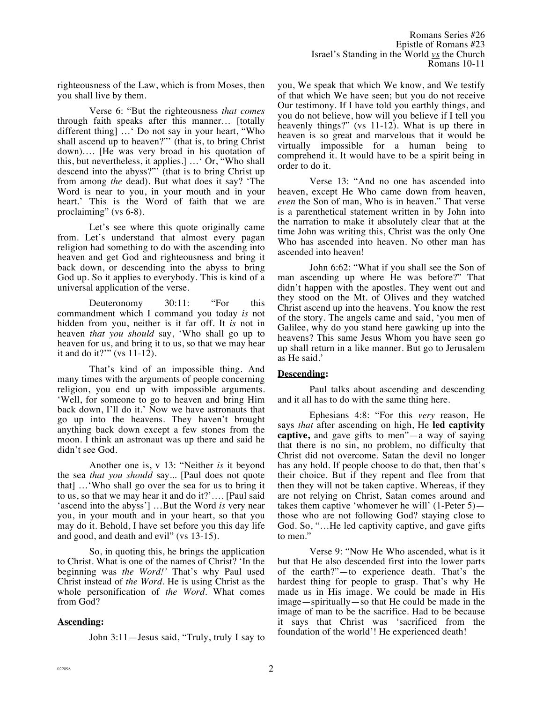righteousness of the Law, which is from Moses, then you shall live by them.

Verse 6: "But the righteousness *that comes* through faith speaks after this manner… [totally different thing] …' Do not say in your heart, "Who shall ascend up to heaven?"' (that is, to bring Christ down)…. [He was very broad in his quotation of this, but nevertheless, it applies.] …' Or, "Who shall descend into the abyss?"' (that is to bring Christ up from among *the* dead). But what does it say? 'The Word is near to you, in your mouth and in your heart.' This is the Word of faith that we are proclaiming" (vs 6-8).

Let's see where this quote originally came from. Let's understand that almost every pagan religion had something to do with the ascending into heaven and get God and righteousness and bring it back down, or descending into the abyss to bring God up. So it applies to everybody. This is kind of a universal application of the verse.

Deuteronomy 30:11: "For this commandment which I command you today *is* not hidden from you, neither is it far off. It *is* not in heaven *that you should* say, 'Who shall go up to heaven for us, and bring it to us, so that we may hear it and do it?'" (vs 11-12).

That's kind of an impossible thing. And many times with the arguments of people concerning religion, you end up with impossible arguments. 'Well, for someone to go to heaven and bring Him back down, I'll do it.' Now we have astronauts that go up into the heavens. They haven't brought anything back down except a few stones from the moon. I think an astronaut was up there and said he didn't see God.

Another one is, v 13: "Neither *is* it beyond the sea *that you should* say... [Paul does not quote that] …'Who shall go over the sea for us to bring it to us, so that we may hear it and do it?'…. [Paul said 'ascend into the abyss'] …But the Word *is* very near you, in your mouth and in your heart, so that you may do it. Behold, I have set before you this day life and good, and death and evil" (vs 13-15).

So, in quoting this, he brings the application to Christ. What is one of the names of Christ? 'In the beginning was *the Word!'* That's why Paul used Christ instead of *the Word*. He is using Christ as the whole personification of *the Word*. What comes from God?

## **Ascending:**

John 3:11—Jesus said, "Truly, truly I say to

you, We speak that which We know, and We testify of that which We have seen; but you do not receive Our testimony. If I have told you earthly things, and you do not believe, how will you believe if I tell you heavenly things?" (vs 11-12). What is up there in heaven is so great and marvelous that it would be virtually impossible for a human being to comprehend it. It would have to be a spirit being in order to do it.

Verse 13: "And no one has ascended into heaven, except He Who came down from heaven, *even* the Son of man, Who is in heaven." That verse is a parenthetical statement written in by John into the narration to make it absolutely clear that at the time John was writing this, Christ was the only One Who has ascended into heaven. No other man has ascended into heaven!

John 6:62: "What if you shall see the Son of man ascending up where He was before?" That didn't happen with the apostles. They went out and they stood on the Mt. of Olives and they watched Christ ascend up into the heavens. You know the rest of the story. The angels came and said, 'you men of Galilee, why do you stand here gawking up into the heavens? This same Jesus Whom you have seen go up shall return in a like manner. But go to Jerusalem as He said.'

## **Descending:**

Paul talks about ascending and descending and it all has to do with the same thing here.

Ephesians 4:8: "For this *very* reason, He says *that* after ascending on high, He **led captivity captive,** and gave gifts to men"—a way of saying that there is no sin, no problem, no difficulty that Christ did not overcome. Satan the devil no longer has any hold. If people choose to do that, then that's their choice. But if they repent and flee from that then they will not be taken captive. Whereas, if they are not relying on Christ, Satan comes around and takes them captive 'whomever he will' (1-Peter 5) those who are not following God? staying close to God. So, "…He led captivity captive, and gave gifts to men."

Verse 9: "Now He Who ascended, what is it but that He also descended first into the lower parts of the earth?"—to experience death. That's the hardest thing for people to grasp. That's why He made us in His image. We could be made in His image—spiritually—so that He could be made in the image of man to be the sacrifice. Had to be because it says that Christ was 'sacrificed from the foundation of the world'! He experienced death!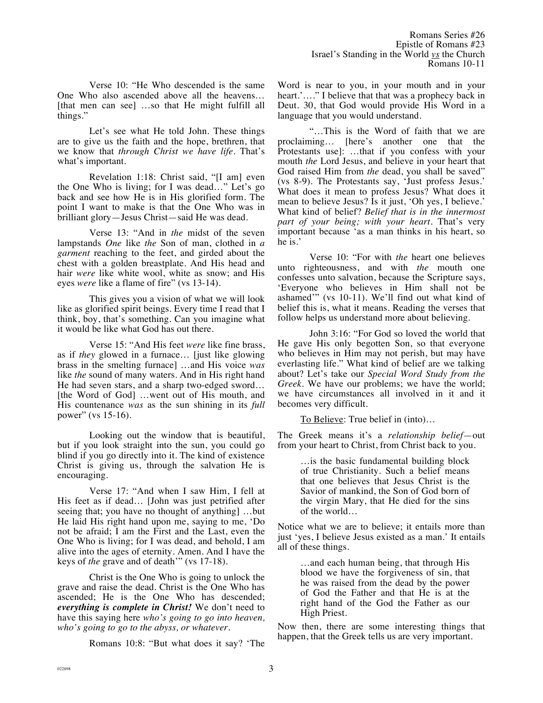Verse 10: "He Who descended is the same One Who also ascended above all the heavens… [that men can see] …so that He might fulfill all things."

Let's see what He told John. These things are to give us the faith and the hope, brethren, that we know that *through Christ we have life.* That's what's important.

Revelation 1:18: Christ said, "[I am] even the One Who is living; for I was dead…" Let's go back and see how He is in His glorified form. The point I want to make is that the One Who was in brilliant glory—Jesus Christ—said He was dead.

Verse 13: "And in *the* midst of the seven lampstands *One* like *the* Son of man, clothed in *a garment* reaching to the feet, and girded about the chest with a golden breastplate. And His head and hair *were* like white wool, white as snow; and His eyes *were* like a flame of fire" (vs 13-14).

This gives you a vision of what we will look like as glorified spirit beings. Every time I read that I think, boy, that's something. Can you imagine what it would be like what God has out there.

Verse 15: "And His feet *were* like fine brass, as if *they* glowed in a furnace… [just like glowing brass in the smelting furnace] …and His voice *was* like *the* sound of many waters. And in His right hand He had seven stars, and a sharp two-edged sword… [the Word of God] …went out of His mouth, and His countenance *was* as the sun shining in its *full*  power" (vs 15-16).

Looking out the window that is beautiful, but if you look straight into the sun, you could go blind if you go directly into it. The kind of existence Christ is giving us, through the salvation He is encouraging.

Verse 17: "And when I saw Him, I fell at His feet as if dead… [John was just petrified after seeing that; you have no thought of anything] …but He laid His right hand upon me, saying to me, 'Do not be afraid; I am the First and the Last, even the One Who is living; for I was dead, and behold, I am alive into the ages of eternity. Amen. And I have the keys of *the* grave and of death'" (vs 17-18).

Christ is the One Who is going to unlock the grave and raise the dead. Christ is the One Who has ascended; He is the One Who has descended; *everything is complete in Christ!* We don't need to have this saying here *who's going to go into heaven, who's going to go to the abyss, or whatever.* 

Romans 10:8: "But what does it say? 'The

Word is near to you, in your mouth and in your heart.'…." I believe that that was a prophecy back in Deut. 30, that God would provide His Word in a language that you would understand.

"…This is the Word of faith that we are proclaiming… [here's another one that the Protestants use]: …that if you confess with your mouth *the* Lord Jesus, and believe in your heart that God raised Him from *the* dead, you shall be saved" (vs 8-9). The Protestants say, 'Just profess Jesus.' What does it mean to profess Jesus? What does it mean to believe Jesus? Is it just, 'Oh yes, I believe.' What kind of belief? *Belief that is in the innermost part of your being; with your heart.* That's very important because 'as a man thinks in his heart, so he is.'

Verse 10: "For with *the* heart one believes unto righteousness, and with *the* mouth one confesses unto salvation, because the Scripture says, 'Everyone who believes in Him shall not be ashamed'" (vs 10-11). We'll find out what kind of belief this is, what it means. Reading the verses that follow helps us understand more about believing.

John 3:16: "For God so loved the world that He gave His only begotten Son, so that everyone who believes in Him may not perish, but may have everlasting life." What kind of belief are we talking about? Let's take our *Special Word Study from the Greek*. We have our problems; we have the world; we have circumstances all involved in it and it becomes very difficult.

To Believe: True belief in (into)...

The Greek means it's a *relationship belief*—out from your heart to Christ, from Christ back to you.

> …is the basic fundamental building block of true Christianity. Such a belief means that one believes that Jesus Christ is the Savior of mankind, the Son of God born of the virgin Mary, that He died for the sins of the world…

Notice what we are to believe; it entails more than just 'yes, I believe Jesus existed as a man.' It entails all of these things.

> …and each human being, that through His blood we have the forgiveness of sin, that he was raised from the dead by the power of God the Father and that He is at the right hand of the God the Father as our High Priest.

Now then, there are some interesting things that happen, that the Greek tells us are very important.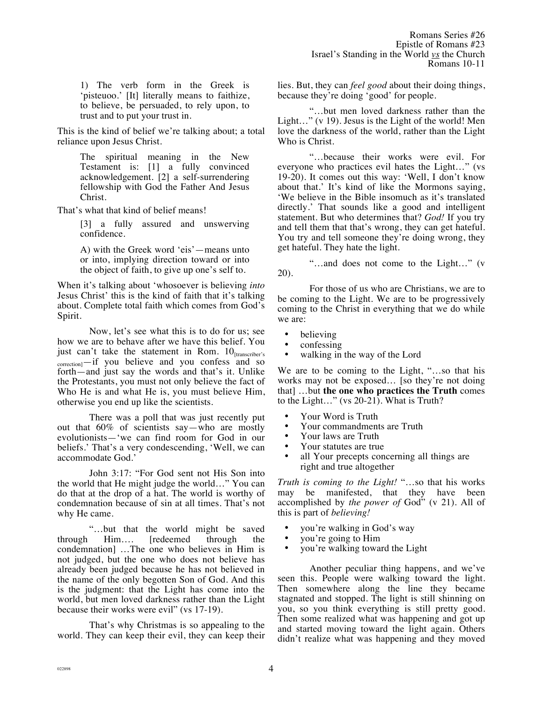1) The verb form in the Greek is 'pisteuoo.' [It] literally means to faithize, to believe, be persuaded, to rely upon, to trust and to put your trust in.

This is the kind of belief we're talking about; a total reliance upon Jesus Christ.

> The spiritual meaning in the New Testament is: [1] a fully convinced acknowledgement. [2] a self-surrendering fellowship with God the Father And Jesus Christ.

That's what that kind of belief means!

[3] a fully assured and unswerving confidence.

A) with the Greek word 'eis'—means unto or into, implying direction toward or into the object of faith, to give up one's self to.

When it's talking about 'whosoever is believing *into* Jesus Christ' this is the kind of faith that it's talking about. Complete total faith which comes from God's Spirit.

Now, let's see what this is to do for us; see how we are to behave after we have this belief. You just can't take the statement in Rom.  $10<sub>[transfer's]</sub>$ correction<sup>1</sup>—if you believe and you confess and so forth—and just say the words and that's it. Unlike the Protestants, you must not only believe the fact of Who He is and what He is, you must believe Him, otherwise you end up like the scientists.

There was a poll that was just recently put out that 60% of scientists say—who are mostly evolutionists—'we can find room for God in our beliefs.' That's a very condescending, 'Well, we can accommodate God.'

John 3:17: "For God sent not His Son into the world that He might judge the world…" You can do that at the drop of a hat. The world is worthy of condemnation because of sin at all times. That's not why He came.

"…but that the world might be saved through Him…. [redeemed through the condemnation] …The one who believes in Him is not judged, but the one who does not believe has already been judged because he has not believed in the name of the only begotten Son of God. And this is the judgment: that the Light has come into the world, but men loved darkness rather than the Light because their works were evil" (vs 17-19).

That's why Christmas is so appealing to the world. They can keep their evil, they can keep their lies. But, they can *feel good* about their doing things, because they're doing 'good' for people.

"…but men loved darkness rather than the Light…" (v 19). Jesus is the Light of the world! Men love the darkness of the world, rather than the Light Who is Christ.

"…because their works were evil. For everyone who practices evil hates the Light…" (vs 19-20). It comes out this way: 'Well, I don't know about that.' It's kind of like the Mormons saying, 'We believe in the Bible insomuch as it's translated directly.' That sounds like a good and intelligent statement. But who determines that? *God!* If you try and tell them that that's wrong, they can get hateful. You try and tell someone they're doing wrong, they get hateful. They hate the light.

"…and does not come to the Light…" (v 20).

For those of us who are Christians, we are to be coming to the Light. We are to be progressively coming to the Christ in everything that we do while we are:

- believing
- confessing
- walking in the way of the Lord

We are to be coming to the Light, "…so that his works may not be exposed… [so they're not doing that] …but **the one who practices the Truth** comes to the Light…" (vs 20-21). What is Truth?

- Your Word is Truth<br>• Your commandment
- Your commandments are Truth<br>• Your laws are Truth
- Your laws are Truth
- Your statutes are true
- all Your precepts concerning all things are right and true altogether

*Truth is coming to the Light!* "…so that his works may be manifested, that they have been accomplished by *the power of* God" (v 21). All of this is part of *believing!*

- you're walking in God's way<br>• you're going to Him
- you're going to Him
- you're walking toward the Light

Another peculiar thing happens, and we've seen this. People were walking toward the light. Then somewhere along the line they became stagnated and stopped. The light is still shinning on you, so you think everything is still pretty good. Then some realized what was happening and got up and started moving toward the light again. Others didn't realize what was happening and they moved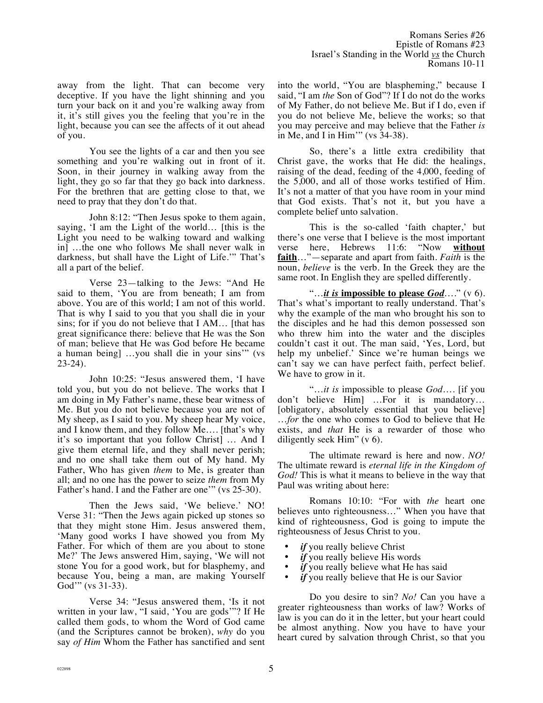away from the light. That can become very deceptive. If you have the light shinning and you turn your back on it and you're walking away from it, it's still gives you the feeling that you're in the light, because you can see the affects of it out ahead of you.

You see the lights of a car and then you see something and you're walking out in front of it. Soon, in their journey in walking away from the light, they go so far that they go back into darkness. For the brethren that are getting close to that, we need to pray that they don't do that.

John 8:12: "Then Jesus spoke to them again, saying, 'I am the Light of the world… [this is the Light you need to be walking toward and walking in] …the one who follows Me shall never walk in darkness, but shall have the Light of Life.'" That's all a part of the belief.

Verse 23—talking to the Jews: "And He said to them, 'You are from beneath; I am from above. You are of this world; I am not of this world. That is why I said to you that you shall die in your sins; for if you do not believe that I AM… [that has great significance there: believe that He was the Son of man; believe that He was God before He became a human being] …you shall die in your sins'" (vs 23-24).

John 10:25: "Jesus answered them, 'I have told you, but you do not believe. The works that I am doing in My Father's name, these bear witness of Me. But you do not believe because you are not of My sheep, as I said to you. My sheep hear My voice, and I know them, and they follow Me…. [that's why it's so important that you follow Christ] … And I give them eternal life, and they shall never perish; and no one shall take them out of My hand. My Father, Who has given *them* to Me, is greater than all; and no one has the power to seize *them* from My Father's hand. I and the Father are one'" (vs 25-30).

Then the Jews said, 'We believe.' NO! Verse 31: "Then the Jews again picked up stones so that they might stone Him. Jesus answered them, 'Many good works I have showed you from My Father. For which of them are you about to stone Me?' The Jews answered Him, saying, 'We will not stone You for a good work, but for blasphemy, and because You, being a man, are making Yourself God'" (vs 31-33).

Verse 34: "Jesus answered them, 'Is it not written in your law, "I said, 'You are gods'"? If He called them gods, to whom the Word of God came (and the Scriptures cannot be broken), *why* do you say *of Him* Whom the Father has sanctified and sent into the world, "You are blaspheming," because I said, "I am *the* Son of God"? If I do not do the works of My Father, do not believe Me. But if I do, even if you do not believe Me, believe the works; so that you may perceive and may believe that the Father *is* in Me, and I in Him'" (vs 34-38).

So, there's a little extra credibility that Christ gave, the works that He did: the healings, raising of the dead, feeding of the 4,000, feeding of the 5,000, and all of those works testified of Him. It's not a matter of that you have room in your mind that God exists. That's not it, but you have a complete belief unto salvation.

This is the so-called 'faith chapter,' but there's one verse that I believe is the most important<br>verse here. Hebrews 11:6: "Now without verse here, Hebrews 11:6: "Now **without faith**…"—separate and apart from faith. *Faith* is the noun, *believe* is the verb. In the Greek they are the same root. In English they are spelled differently.

"…*it is* **impossible to please** *God*…." (v 6). That's what's important to really understand. That's why the example of the man who brought his son to the disciples and he had this demon possessed son who threw him into the water and the disciples couldn't cast it out. The man said, 'Yes, Lord, but help my unbelief.' Since we're human beings we can't say we can have perfect faith, perfect belief. We have to grow in it.

"…*it is* impossible to please *God*…. [if you don't believe Him] …For it is mandatory… [obligatory, absolutely essential that you believe] …*for* the one who comes to God to believe that He exists, and *that* He is a rewarder of those who diligently seek Him" (v 6).

The ultimate reward is here and now. *NO!* The ultimate reward is *eternal life in the Kingdom of God!* This is what it means to believe in the way that Paul was writing about here:

Romans 10:10: "For with *the* heart one believes unto righteousness…" When you have that kind of righteousness, God is going to impute the righteousness of Jesus Christ to you.

- *if* you really believe Christ
- *if* you really believe His words
- *if* you really believe what He has said
- *if* you really believe that He is our Savior

Do you desire to sin? *No!* Can you have a greater righteousness than works of law? Works of law is you can do it in the letter, but your heart could be almost anything. Now you have to have your heart cured by salvation through Christ, so that you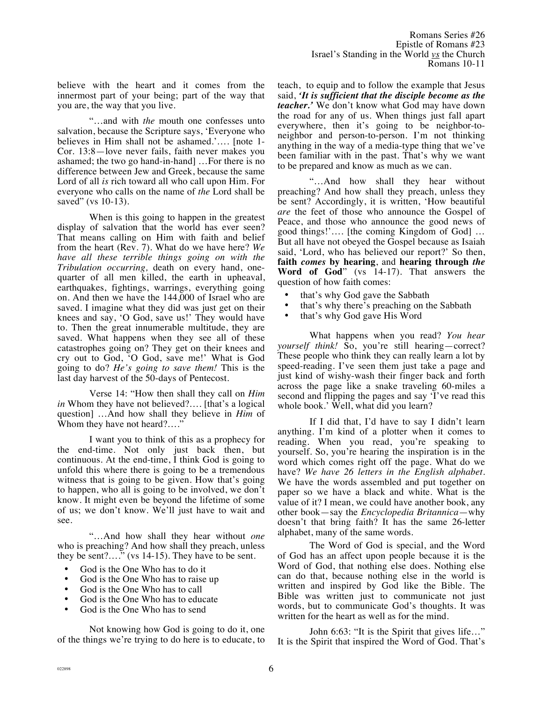"…and with *the* mouth one confesses unto salvation, because the Scripture says, 'Everyone who believes in Him shall not be ashamed.'…. [note 1- Cor. 13:8—love never fails, faith never makes you ashamed; the two go hand-in-hand] …For there is no difference between Jew and Greek, because the same Lord of all *is* rich toward all who call upon Him. For everyone who calls on the name of *the* Lord shall be saved" (vs 10-13).

When is this going to happen in the greatest display of salvation that the world has ever seen? That means calling on Him with faith and belief from the heart (Rev. 7). What do we have here? *We have all these terrible things going on with the Tribulation occurring,* death on every hand, onequarter of all men killed, the earth in upheaval, earthquakes, fightings, warrings, everything going on. And then we have the 144,000 of Israel who are saved. I imagine what they did was just get on their knees and say, 'O God, save us!' They would have to. Then the great innumerable multitude, they are saved. What happens when they see all of these catastrophes going on? They get on their knees and cry out to God, 'O God, save me!' What is God going to do? *He's going to save them!* This is the last day harvest of the 50-days of Pentecost.

Verse 14: "How then shall they call on *Him in* Whom they have not believed?…. [that's a logical question] …And how shall they believe in *Him* of Whom they have not heard?…."

I want you to think of this as a prophecy for the end-time. Not only just back then, but continuous. At the end-time, I think God is going to unfold this where there is going to be a tremendous witness that is going to be given. How that's going to happen, who all is going to be involved, we don't know. It might even be beyond the lifetime of some of us; we don't know. We'll just have to wait and see.

"…And how shall they hear without *one*  who is preaching? And how shall they preach, unless they be sent?…." (vs 14-15). They have to be sent.

- God is the One Who has to do it<br>• God is the One Who has to raise
- God is the One Who has to raise up<br>• God is the One Who has to call
- God is the One Who has to call
- God is the One Who has to educate
- God is the One Who has to send

Not knowing how God is going to do it, one of the things we're trying to do here is to educate, to teach, to equip and to follow the example that Jesus said, *'It is sufficient that the disciple become as the teacher.'* We don't know what God may have down the road for any of us. When things just fall apart everywhere, then it's going to be neighbor-toneighbor and person-to-person. I'm not thinking anything in the way of a media-type thing that we've been familiar with in the past. That's why we want to be prepared and know as much as we can.

"…And how shall they hear without preaching? And how shall they preach, unless they be sent? Accordingly, it is written, 'How beautiful *are* the feet of those who announce the Gospel of Peace, and those who announce the good news of good things!'…. [the coming Kingdom of God] … But all have not obeyed the Gospel because as Isaiah said, 'Lord, who has believed our report?' So then, **faith** *comes* **by hearing**, and **hearing through** *the* **Word of God**" (vs 14-17). That answers the question of how faith comes:

- that's why God gave the Sabbath
- that's why there's preaching on the Sabbath
- that's why God gave His Word

What happens when you read? *You hear yourself think!* So, you're still hearing—correct? These people who think they can really learn a lot by speed-reading. I've seen them just take a page and just kind of wishy-wash their finger back and forth across the page like a snake traveling 60-miles a second and flipping the pages and say 'I've read this whole book.' Well, what did you learn?

If I did that, I'd have to say I didn't learn anything. I'm kind of a plotter when it comes to reading. When you read, you're speaking to yourself. So, you're hearing the inspiration is in the word which comes right off the page. What do we have? *We have 26 letters in the English alphabet*. We have the words assembled and put together on paper so we have a black and white. What is the value of it? I mean, we could have another book, any other book—say the *Encyclopedia Britannica*—why doesn't that bring faith? It has the same 26-letter alphabet, many of the same words.

The Word of God is special, and the Word of God has an affect upon people because it is the Word of God, that nothing else does. Nothing else can do that, because nothing else in the world is written and inspired by God like the Bible. The Bible was written just to communicate not just words, but to communicate God's thoughts. It was written for the heart as well as for the mind.

John 6:63: "It is the Spirit that gives life…" It is the Spirit that inspired the Word of God. That's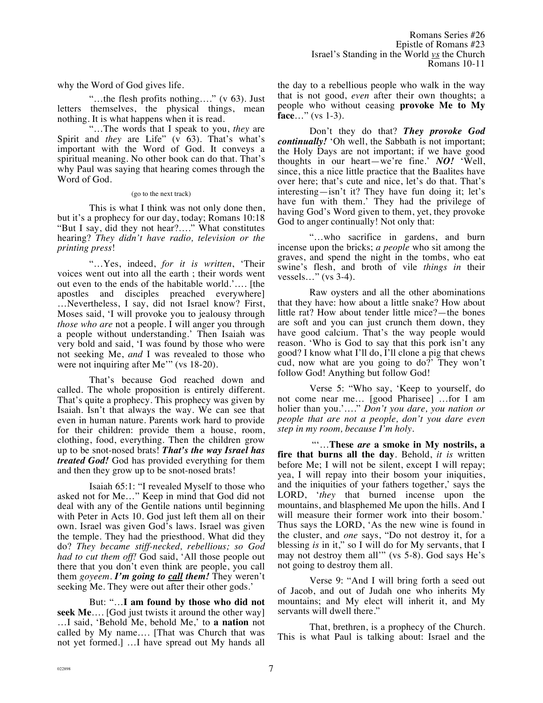why the Word of God gives life.

"…the flesh profits nothing…." (v 63). Just letters themselves, the physical things, mean nothing. It is what happens when it is read.

"…The words that I speak to you, *they* are Spirit and *they* are Life" (v 63). That's what's important with the Word of God. It conveys a spiritual meaning. No other book can do that. That's why Paul was saying that hearing comes through the Word of God.

(go to the next track)

This is what I think was not only done then, but it's a prophecy for our day, today; Romans 10:18 "But I say, did they not hear?…." What constitutes hearing? *They didn't have radio, television or the printing press*!

"…Yes, indeed, *for it is written*, 'Their voices went out into all the earth ; their words went out even to the ends of the habitable world.'…. [the apostles and disciples preached everywhere] …Nevertheless, I say, did not Israel know? First, Moses said, 'I will provoke you to jealousy through *those who are* not a people. I will anger you through a people without understanding.' Then Isaiah was very bold and said, 'I was found by those who were not seeking Me, *and* I was revealed to those who were not inquiring after Me'" (vs 18-20).

That's because God reached down and called. The whole proposition is entirely different. That's quite a prophecy. This prophecy was given by Isaiah. Isn't that always the way. We can see that even in human nature. Parents work hard to provide for their children: provide them a house, room, clothing, food, everything. Then the children grow up to be snot-nosed brats! *That's the way Israel has treated God!* God has provided everything for them and then they grow up to be snot-nosed brats!

Isaiah 65:1: "I revealed Myself to those who asked not for Me…" Keep in mind that God did not deal with any of the Gentile nations until beginning with Peter in Acts 10. God just left them all on their own. Israel was given God's laws. Israel was given the temple. They had the priesthood. What did they do? *They became stiff-necked, rebellious; so God had to cut them off!* God said, 'All those people out there that you don't even think are people, you call them *goyeem. I'm going to call them!* They weren't seeking Me. They were out after their other gods.'

But: "…**I am found by those who did not seek Me**…. [God just twists it around the other way] …I said, 'Behold Me, behold Me,' to **a nation** not called by My name…. [That was Church that was not yet formed.] …I have spread out My hands all the day to a rebellious people who walk in the way that is not good, *even* after their own thoughts; a people who without ceasing **provoke Me to My face**…" (vs 1-3).

Don't they do that? *They provoke God continually!* 'Oh well, the Sabbath is not important; the Holy Days are not important; if we have good thoughts in our heart—we're fine.' *NO!* 'Well, since, this a nice little practice that the Baalites have over here; that's cute and nice, let's do that. That's interesting—isn't it? They have fun doing it; let's have fun with them.' They had the privilege of having God's Word given to them, yet, they provoke God to anger continually! Not only that:

"…who sacrifice in gardens, and burn incense upon the bricks; *a people* who sit among the graves, and spend the night in the tombs, who eat swine's flesh, and broth of vile *things in* their vessels…" (vs 3-4).

Raw oysters and all the other abominations that they have: how about a little snake? How about little rat? How about tender little mice?—the bones are soft and you can just crunch them down, they have good calcium. That's the way people would reason. 'Who is God to say that this pork isn't any good? I know what I'll do, I'll clone a pig that chews cud, now what are you going to do?' They won't follow God! Anything but follow God!

Verse 5: "Who say, 'Keep to yourself, do not come near me… [good Pharisee] …for I am holier than you.'…." *Don't you dare, you nation or people that are not a people, don't you dare even step in my room, because I'm holy.*

 "'…**These** *are* **a smoke in My nostrils, a fire that burns all the day**. Behold, *it is* written before Me; I will not be silent, except I will repay; yea, I will repay into their bosom your iniquities, and the iniquities of your fathers together,' says the LORD, '*they* that burned incense upon the mountains, and blasphemed Me upon the hills. And I will measure their former work into their bosom.' Thus says the LORD, 'As the new wine is found in the cluster, and *one* says, "Do not destroy it, for a blessing *is* in it," so I will do for My servants, that I may not destroy them all'" (vs 5-8). God says He's not going to destroy them all.

Verse 9: "And I will bring forth a seed out of Jacob, and out of Judah one who inherits My mountains; and My elect will inherit it, and My servants will dwell there."

That, brethren, is a prophecy of the Church. This is what Paul is talking about: Israel and the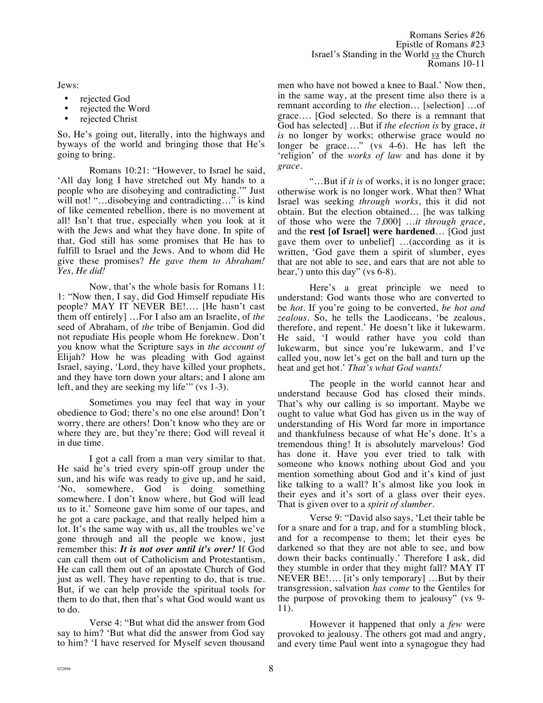Jews:

- rejected God
- rejected the Word
- rejected Christ

So, He's going out, literally, into the highways and byways of the world and bringing those that He's going to bring.

Romans 10:21: "However, to Israel he said, 'All day long I have stretched out My hands to a people who are disobeying and contradicting.'" Just will not! "...disobeying and contradicting..." is kind of like cemented rebellion, there is no movement at all! Isn't that true, especially when you look at it with the Jews and what they have done. In spite of that, God still has some promises that He has to fulfill to Israel and the Jews. And to whom did He give these promises? *He gave them to Abraham! Yes, He did!*

Now, that's the whole basis for Romans 11: 1: "Now then, I say, did God Himself repudiate His people? MAY IT NEVER BE!…. [He hasn't cast them off entirely] …For I also am an Israelite, of *the* seed of Abraham, of *the* tribe of Benjamin. God did not repudiate His people whom He foreknew. Don't you know what the Scripture says in *the account of* Elijah? How he was pleading with God against Israel, saying, 'Lord, they have killed your prophets, and they have torn down your altars; and I alone am left, and they are seeking my life'" (vs 1-3).

Sometimes you may feel that way in your obedience to God; there's no one else around! Don't worry, there are others! Don't know who they are or where they are, but they're there; God will reveal it in due time.

I got a call from a man very similar to that. He said he's tried every spin-off group under the sun, and his wife was ready to give up, and he said, 'No, somewhere, God is doing something somewhere. I don't know where, but God will lead us to it.' Someone gave him some of our tapes, and he got a care package, and that really helped him a lot. It's the same way with us, all the troubles we've gone through and all the people we know, just remember this: *It is not over until it's over!* If God can call them out of Catholicism and Protestantism, He can call them out of an apostate Church of God just as well. They have repenting to do, that is true. But, if we can help provide the spiritual tools for them to do that, then that's what God would want us to do.

Verse 4: "But what did the answer from God say to him? 'But what did the answer from God say to him? 'I have reserved for Myself seven thousand men who have not bowed a knee to Baal.' Now then, in the same way, at the present time also there is a remnant according to *the* election… [selection] …of grace…. [God selected. So there is a remnant that God has selected] …But if *the election is* by grace, *it is* no longer by works; otherwise grace would no longer be grace…." (vs 4-6). He has left the 'religion' of the *works of law* and has done it by *grace*.

"…But if *it is* of works, it is no longer grace; otherwise work is no longer work. What then? What Israel was seeking *through works*, this it did not obtain. But the election obtained… [he was talking of those who were the 7,000] …*it through grace*, and the **rest [of Israel] were hardened**… [God just gave them over to unbelief] …(according as it is written, 'God gave them a spirit of slumber, eyes that are not able to see, and ears that are not able to hear,') unto this day" (vs 6-8).

Here's a great principle we need to understand: God wants those who are converted to be *hot*. If you're going to be converted, *be hot and zealous.* So, he tells the Laodiceans, 'be zealous, therefore, and repent.' He doesn't like it lukewarm. He said, 'I would rather have you cold than lukewarm, but since you're lukewarm, and I've called you, now let's get on the ball and turn up the heat and get hot.' *That's what God wants!*

The people in the world cannot hear and understand because God has closed their minds. That's why our calling is so important. Maybe we ought to value what God has given us in the way of understanding of His Word far more in importance and thankfulness because of what He's done. It's a tremendous thing! It is absolutely marvelous! God has done it. Have you ever tried to talk with someone who knows nothing about God and you mention something about God and it's kind of just like talking to a wall? It's almost like you look in their eyes and it's sort of a glass over their eyes. That is given over to a *spirit of slumber.*

Verse 9: "David also says, 'Let their table be for a snare and for a trap, and for a stumbling block, and for a recompense to them; let their eyes be darkened so that they are not able to see, and bow down their backs continually.' Therefore I ask, did they stumble in order that they might fall? MAY IT NEVER BE!…. [it's only temporary] …But by their transgression, salvation *has come* to the Gentiles for the purpose of provoking them to jealousy" (vs 9- 11).

However it happened that only a *few* were provoked to jealousy. The others got mad and angry, and every time Paul went into a synagogue they had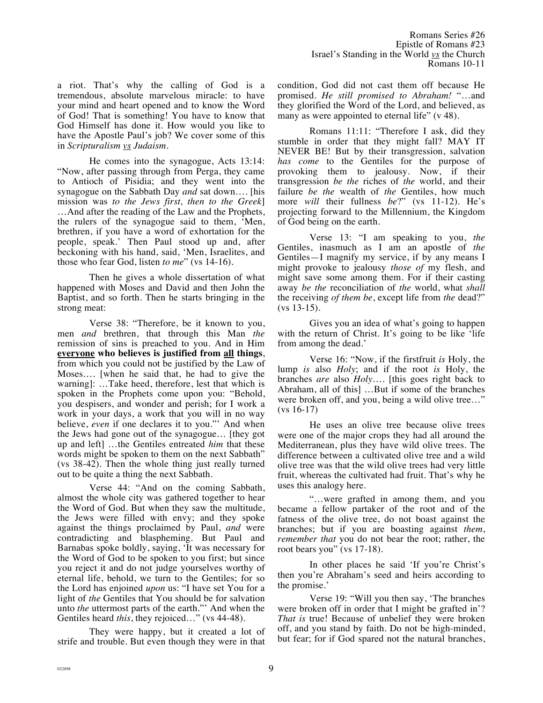a riot. That's why the calling of God is a tremendous, absolute marvelous miracle: to have your mind and heart opened and to know the Word of God! That is something! You have to know that God Himself has done it. How would you like to have the Apostle Paul's job? We cover some of this in *Scripturalism vs Judaism.* 

He comes into the synagogue, Acts 13:14: "Now, after passing through from Perga, they came to Antioch of Pisidia; and they went into the synagogue on the Sabbath Day *and* sat down…. [his mission was *to the Jews first, then to the Greek*] …And after the reading of the Law and the Prophets, the rulers of the synagogue said to them, 'Men, brethren, if you have a word of exhortation for the people, speak.' Then Paul stood up and, after beckoning with his hand, said, 'Men, Israelites, and those who fear God, listen *to me*" (vs 14-16).

Then he gives a whole dissertation of what happened with Moses and David and then John the Baptist, and so forth. Then he starts bringing in the strong meat:

Verse 38: "Therefore, be it known to you, men *and* brethren, that through this Man *the* remission of sins is preached to you. And in Him **everyone who believes is justified from all things**, from which you could not be justified by the Law of Moses…. [when he said that, he had to give the warning]: …Take heed, therefore, lest that which is spoken in the Prophets come upon you: "Behold, you despisers, and wonder and perish; for I work a work in your days, a work that you will in no way believe, *even* if one declares it to you."' And when the Jews had gone out of the synagogue… [they got up and left] …the Gentiles entreated *him* that these words might be spoken to them on the next Sabbath" (vs 38-42). Then the whole thing just really turned out to be quite a thing the next Sabbath.

Verse 44: "And on the coming Sabbath, almost the whole city was gathered together to hear the Word of God. But when they saw the multitude, the Jews were filled with envy; and they spoke against the things proclaimed by Paul, *and* were contradicting and blaspheming. But Paul and Barnabas spoke boldly, saying, 'It was necessary for the Word of God to be spoken to you first; but since you reject it and do not judge yourselves worthy of eternal life, behold, we turn to the Gentiles; for so the Lord has enjoined *upon* us: "I have set You for a light of *the* Gentiles that You should be for salvation unto *the* uttermost parts of the earth."' And when the Gentiles heard *this*, they rejoiced…" (vs 44-48).

They were happy, but it created a lot of strife and trouble. But even though they were in that condition, God did not cast them off because He promised. *He still promised to Abraham!* "…and they glorified the Word of the Lord, and believed, as many as were appointed to eternal life" (v 48).

Romans 11:11: "Therefore I ask, did they stumble in order that they might fall? MAY IT NEVER BE! But by their transgression, salvation *has come* to the Gentiles for the purpose of provoking them to jealousy. Now, if their transgression *be the* riches of *the* world, and their failure *be the* wealth of *the* Gentiles, how much more *will* their fullness *be*?" (vs 11-12). He's projecting forward to the Millennium, the Kingdom of God being on the earth.

Verse 13: "I am speaking to you, *the* Gentiles, inasmuch as I am an apostle of *the* Gentiles—I magnify my service, if by any means I might provoke to jealousy *those of* my flesh, and might save some among them. For if their casting away *be the* reconciliation of *the* world, what *shall* the receiving *of them be*, except life from *the* dead?" (vs 13-15).

Gives you an idea of what's going to happen with the return of Christ. It's going to be like 'life' from among the dead.'

Verse 16: "Now, if the firstfruit *is* Holy, the lump *is* also *Holy*; and if the root *is* Holy, the branches *are* also *Holy*…. [this goes right back to Abraham, all of this] …But if some of the branches were broken off, and you, being a wild olive tree…" (vs 16-17)

He uses an olive tree because olive trees were one of the major crops they had all around the Mediterranean, plus they have wild olive trees. The difference between a cultivated olive tree and a wild olive tree was that the wild olive trees had very little fruit, whereas the cultivated had fruit. That's why he uses this analogy here.

"…were grafted in among them, and you became a fellow partaker of the root and of the fatness of the olive tree, do not boast against the branches; but if you are boasting against *them*, *remember that* you do not bear the root; rather, the root bears you" (vs 17-18).

In other places he said 'If you're Christ's then you're Abraham's seed and heirs according to the promise.'

Verse 19: "Will you then say, 'The branches were broken off in order that I might be grafted in'? *That is* true! Because of unbelief they were broken off, and you stand by faith. Do not be high-minded, but fear; for if God spared not the natural branches,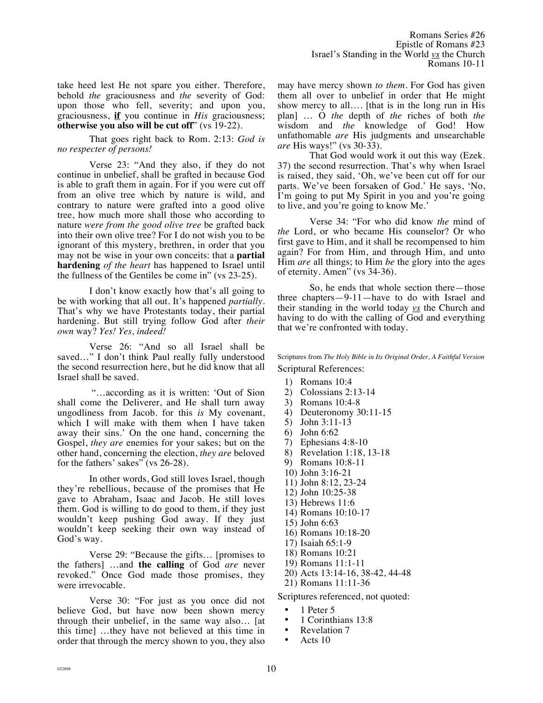take heed lest He not spare you either. Therefore, behold *the* graciousness and *the* severity of God: upon those who fell, severity; and upon you, graciousness, **if** you continue in *His* graciousness; **otherwise you also will be cut off**" (vs 19-22).

That goes right back to Rom. 2:13: *God is no respecter of persons!*

Verse 23: "And they also, if they do not continue in unbelief, shall be grafted in because God is able to graft them in again. For if you were cut off from an olive tree which by nature is wild, and contrary to nature were grafted into a good olive tree, how much more shall those who according to nature *were from the good olive tree* be grafted back into their own olive tree? For I do not wish you to be ignorant of this mystery, brethren, in order that you may not be wise in your own conceits: that a **partial hardening** *of the heart* has happened to Israel until the fullness of the Gentiles be come in" (vs 23-25).

I don't know exactly how that's all going to be with working that all out. It's happened *partially.* That's why we have Protestants today, their partial hardening. But still trying follow God after *their own* way? *Yes! Yes, indeed!*

Verse 26: "And so all Israel shall be saved…" I don't think Paul really fully understood the second resurrection here, but he did know that all Israel shall be saved.

 "…according as it is written: 'Out of Sion shall come the Deliverer, and He shall turn away ungodliness from Jacob. for this *is* My covenant, which I will make with them when I have taken away their sins.' On the one hand, concerning the Gospel, *they are* enemies for your sakes; but on the other hand, concerning the election, *they are* beloved for the fathers' sakes" (vs 26-28).

In other words, God still loves Israel, though they're rebellious, because of the promises that He gave to Abraham, Isaac and Jacob. He still loves them. God is willing to do good to them, if they just wouldn't keep pushing God away. If they just wouldn't keep seeking their own way instead of God's way.

Verse 29: "Because the gifts… [promises to the fathers] …and **the calling** of God *are* never revoked." Once God made those promises, they were irrevocable.

Verse 30: "For just as you once did not believe God, but have now been shown mercy through their unbelief, in the same way also… [at this time] …they have not believed at this time in order that through the mercy shown to you, they also may have mercy shown *to them*. For God has given them all over to unbelief in order that He might show mercy to all…. [that is in the long run in His plan] … O *the* depth of *the* riches of both *the* wisdom and *the* knowledge of God! How unfathomable *are* His judgments and unsearchable *are* His ways!" (vs 30-33).

That God would work it out this way (Ezek. 37) the second resurrection. That's why when Israel is raised, they said, 'Oh, we've been cut off for our parts. We've been forsaken of God.' He says, 'No, I'm going to put My Spirit in you and you're going to live, and you're going to know Me.'

Verse 34: "For who did know *the* mind of *the* Lord, or who became His counselor? Or who first gave to Him, and it shall be recompensed to him again? For from Him, and through Him, and unto Him *are* all things; to Him *be* the glory into the ages of eternity. Amen" (vs 34-36).

So, he ends that whole section there—those three chapters—9-11—have to do with Israel and their standing in the world today *vs* the Church and having to do with the calling of God and everything that we're confronted with today.

Scriptures from *The Holy Bible in Its Original Order, A Faithful Version* Scriptural References:

- 1) Romans 10:4
- 2) Colossians 2:13-14
- 3) Romans 10:4-8
- 4) Deuteronomy 30:11-15
- 5) John 3:11-13
- 6) John 6:62
- 7) Ephesians 4:8-10
- 8) Revelation 1:18, 13-18
- 9) Romans 10:8-11
- 10) John 3:16-21
- 11) John 8:12, 23-24
- 12) John 10:25-38
- 13) Hebrews 11:6
- 14) Romans 10:10-17
- 15) John 6:63
- 16) Romans 10:18-20
- 17) Isaiah 65:1-9
- 18) Romans 10:21
- 19) Romans 11:1-11
- 20) Acts 13:14-16, 38-42, 44-48
- 21) Romans 11:11-36

Scriptures referenced, not quoted:

- 1 Peter 5<br>• 1 Corinth
- 1 Corinthians 13:8
- Revelation 7
- Acts 10